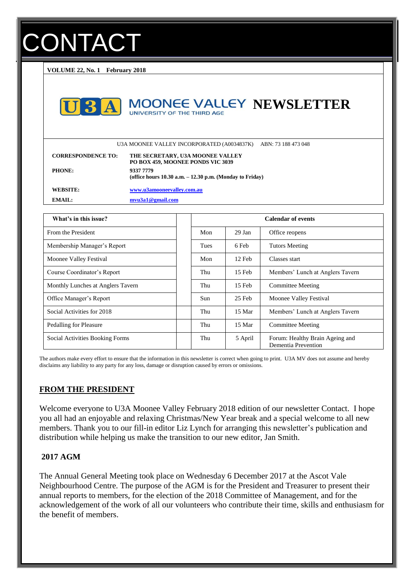# **ONTACT**

**VOLUME 22, No. 1 February 2018**



## **MOONEE VALLEY NEWSLETTER** UNIVERSITY OF THE THIRD AGE

U3A MOONEE VALLEY INCORPORATED (A0034837K) ABN: 73 188 473 048

| <b>CORRESPONDENCE TO:</b> | THE SECRETARY, U3A MOONEE VALLEY<br>PO BOX 459, MOONEE PONDS VIC 3039    |
|---------------------------|--------------------------------------------------------------------------|
| <b>PHONE:</b>             | 9337 7779<br>(office hours $10.30$ a.m. $-12.30$ p.m. (Monday to Friday) |
| WEBSITE:                  | www.u3amooneevalley.com.au                                               |
| EMAIL:                    | mvu3a1@gmail.com                                                         |

| What's in this issue?             | <b>Calendar of events</b> |          |                                                        |
|-----------------------------------|---------------------------|----------|--------------------------------------------------------|
| From the President                | Mon                       | $29$ Jan | Office reopens                                         |
| Membership Manager's Report       | <b>Tues</b>               | 6 Feb    | <b>Tutors Meeting</b>                                  |
| Moonee Valley Festival            | Mon                       | 12 Feb   | Classes start                                          |
| Course Coordinator's Report       | Thu                       | $15$ Feb | Members' Lunch at Anglers Tavern                       |
| Monthly Lunches at Anglers Tavern | Thu                       | $15$ Feb | <b>Committee Meeting</b>                               |
| Office Manager's Report           | <b>Sun</b>                | 25 Feb   | Moonee Valley Festival                                 |
| Social Activities for 2018        | Thu                       | 15 Mar   | Members' Lunch at Anglers Tavern                       |
| Pedalling for Pleasure            | Thu                       | 15 Mar   | <b>Committee Meeting</b>                               |
| Social Activities Booking Forms   | Thu                       | 5 April  | Forum: Healthy Brain Ageing and<br>Dementia Prevention |

The authors make every effort to ensure that the information in this newsletter is correct when going to print. U3A MV does not assume and hereby disclaims any liability to any party for any loss, damage or disruption caused by errors or omissions.

## **FROM THE PRESIDENT**

Welcome everyone to U3A Moonee Valley February 2018 edition of our newsletter Contact. I hope you all had an enjoyable and relaxing Christmas/New Year break and a special welcome to all new members. Thank you to our fill-in editor Liz Lynch for arranging this newsletter's publication and distribution while helping us make the transition to our new editor, Jan Smith.

## **2017 AGM**

The Annual General Meeting took place on Wednesday 6 December 2017 at the Ascot Vale Neighbourhood Centre. The purpose of the AGM is for the President and Treasurer to present their annual reports to members, for the election of the 2018 Committee of Management, and for the acknowledgement of the work of all our volunteers who contribute their time, skills and enthusiasm for the benefit of members.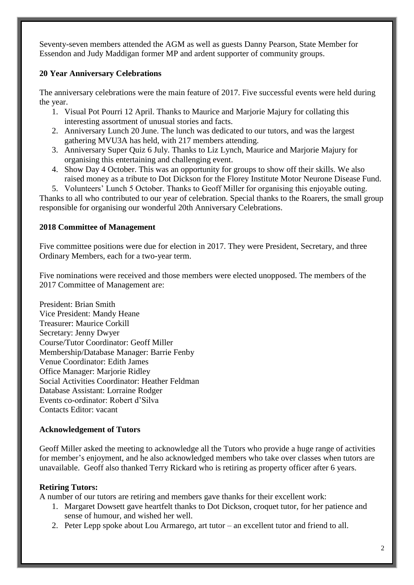Seventy-seven members attended the AGM as well as guests Danny Pearson, State Member for Essendon and Judy Maddigan former MP and ardent supporter of community groups.

## **20 Year Anniversary Celebrations**

The anniversary celebrations were the main feature of 2017. Five successful events were held during the year.

- 1. Visual Pot Pourri 12 April. Thanks to Maurice and Marjorie Majury for collating this interesting assortment of unusual stories and facts.
- 2. Anniversary Lunch 20 June. The lunch was dedicated to our tutors, and was the largest gathering MVU3A has held, with 217 members attending.
- 3. Anniversary Super Quiz 6 July. Thanks to Liz Lynch, Maurice and Marjorie Majury for organising this entertaining and challenging event.
- 4. Show Day 4 October. This was an opportunity for groups to show off their skills. We also raised money as a tribute to Dot Dickson for the Florey Institute Motor Neurone Disease Fund.
- 5. Volunteers' Lunch 5 October. Thanks to Geoff Miller for organising this enjoyable outing.

Thanks to all who contributed to our year of celebration. Special thanks to the Roarers, the small group responsible for organising our wonderful 20th Anniversary Celebrations.

## **2018 Committee of Management**

Five committee positions were due for election in 2017. They were President, Secretary, and three Ordinary Members, each for a two-year term.

Five nominations were received and those members were elected unopposed. The members of the 2017 Committee of Management are:

President: Brian Smith Vice President: Mandy Heane Treasurer: Maurice Corkill Secretary: Jenny Dwyer Course/Tutor Coordinator: Geoff Miller Membership/Database Manager: Barrie Fenby Venue Coordinator: Edith James Office Manager: Marjorie Ridley Social Activities Coordinator: Heather Feldman Database Assistant: Lorraine Rodger Events co-ordinator: Robert d'Silva Contacts Editor: vacant

## **Acknowledgement of Tutors**

Geoff Miller asked the meeting to acknowledge all the Tutors who provide a huge range of activities for member's enjoyment, and he also acknowledged members who take over classes when tutors are unavailable. Geoff also thanked Terry Rickard who is retiring as property officer after 6 years.

## **Retiring Tutors:**

A number of our tutors are retiring and members gave thanks for their excellent work:

- 1. Margaret Dowsett gave heartfelt thanks to Dot Dickson, croquet tutor, for her patience and sense of humour, and wished her well.
- 2. Peter Lepp spoke about Lou Armarego, art tutor an excellent tutor and friend to all.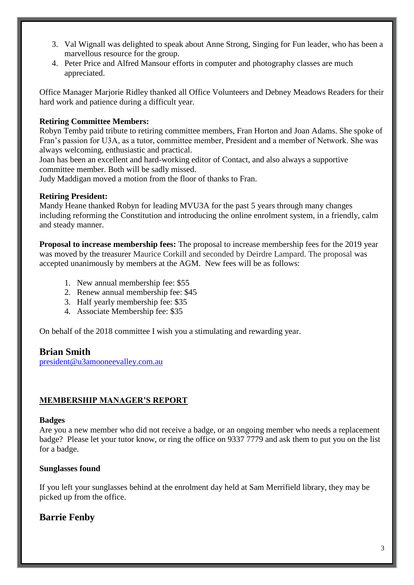- 3. Val Wignall was delighted to speak about Anne Strong, Singing for Fun leader, who has been a marvellous resource for the group.
- 4. Peter Price and Alfred Mansour efforts in computer and photography classes are much appreciated.

Office Manager Marjorie Ridley thanked all Office Volunteers and Debney Meadows Readers for their hard work and patience during a difficult year.

#### **Retiring Committee Members:**

Robyn Temby paid tribute to retiring committee members, Fran Horton and Joan Adams. She spoke of Fran's passion for U3A, as a tutor, committee member, President and a member of Network. She was always welcoming, enthusiastic and practical.

Joan has been an excellent and hard-working editor of Contact, and also always a supportive committee member. Both will be sadly missed.

Judy Maddigan moved a motion from the floor of thanks to Fran.

#### **Retiring President:**

Mandy Heane thanked Robyn for leading MVU3A for the past 5 years through many changes including reforming the Constitution and introducing the online enrolment system, in a friendly, calm and steady manner.

**Proposal to increase membership fees:** The proposal to increase membership fees for the 2019 year was moved by the treasurer Maurice Corkill and seconded by Deirdre Lampard. The proposal was accepted unanimously by members at the AGM. New fees will be as follows:

- 1. New annual membership fee: \$55
- 2. Renew annual membership fee: \$45
- 3. Half yearly membership fee: \$35
- 4. Associate Membership fee: \$35

On behalf of the 2018 committee I wish you a stimulating and rewarding year.

## **Brian Smith**

[president@u3amooneevalley.com.au](mailto:president@u3amooneevalley.com.au)

## **MEMBERSHIP MANAGER'S REPORT**

#### **Badges**

Are you a new member who did not receive a badge, or an ongoing member who needs a replacement badge? Please let your tutor know, or ring the office on 9337 7779 and ask them to put you on the list for a badge.

#### **Sunglasses found**

If you left your sunglasses behind at the enrolment day held at Sam Merrifield library, they may be picked up from the office.

## **Barrie Fenby**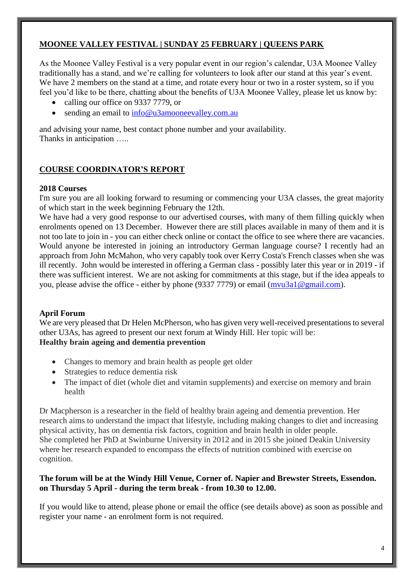## **MOONEE VALLEY FESTIVAL | SUNDAY 25 FEBRUARY | QUEENS PARK**

As the Moonee Valley Festival is a very popular event in our region's calendar, U3A Moonee Valley traditionally has a stand, and we're calling for volunteers to look after our stand at this year's event. We have 2 members on the stand at a time, and rotate every hour or two in a roster system, so if you feel you'd like to be there, chatting about the benefits of U3A Moonee Valley, please let us know by:

- calling our office on 9337 7779, or
- sending an email to [info@u3amooneevalley.com.au](mailto:info@u3amooneevalley.com.au)

and advising your name, best contact phone number and your availability. Thanks in anticipation …..

## **COURSE COORDINATOR'S REPORT**

#### **2018 Courses**

I'm sure you are all looking forward to resuming or commencing your U3A classes, the great majority of which start in the week beginning February the 12th.

We have had a very good response to our advertised courses, with many of them filling quickly when enrolments opened on 13 December. However there are still places available in many of them and it is not too late to join in - you can either check online or contact the office to see where there are vacancies. Would anyone be interested in joining an introductory German language course? I recently had an approach from John McMahon, who very capably took over Kerry Costa's French classes when she was ill recently. John would be interested in offering a German class - possibly later this year or in 2019 - if there was sufficient interest. We are not asking for commitments at this stage, but if the idea appeals to you, please advise the office - either by phone (9337 7779) or email [\(mvu3a1@gmail.com\)](mailto:mvu3a1@gmail.com).

#### **April Forum**

We are very pleased that Dr Helen McPherson, who has given very well-received presentations to several other U3As, has agreed to present our next forum at Windy Hill. Her topic will be: **Healthy brain ageing and dementia prevention**

- Changes to memory and brain health as people get older
- Strategies to reduce dementia risk
- The impact of diet (whole diet and vitamin supplements) and exercise on memory and brain health

Dr Macpherson is a researcher in the field of healthy brain ageing and dementia prevention. Her research aims to understand the impact that lifestyle, including making changes to diet and increasing physical activity, has on dementia risk factors, cognition and brain health in older people. She completed her PhD at Swinburne University in 2012 and in 2015 she joined Deakin University where her research expanded to encompass the effects of nutrition combined with exercise on cognition.

#### **The forum will be at the Windy Hill Venue, Corner of. Napier and Brewster Streets, Essendon. on Thursday 5 April - during the term break - from 10.30 to 12.00.**

If you would like to attend, please phone or email the office (see details above) as soon as possible and register your name - an enrolment form is not required.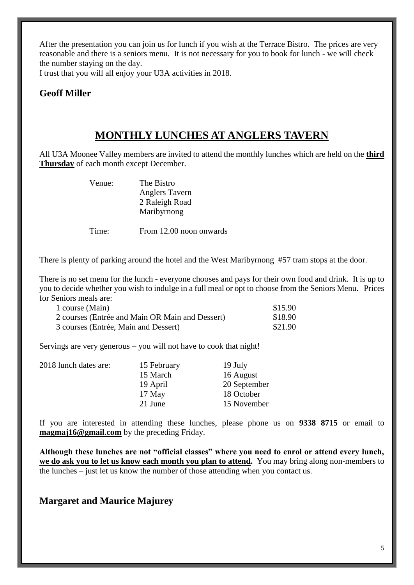After the presentation you can join us for lunch if you wish at the Terrace Bistro. The prices are very reasonable and there is a seniors menu. It is not necessary for you to book for lunch - we will check the number staying on the day.

I trust that you will all enjoy your U3A activities in 2018.

## **Geoff Miller**

# **MONTHLY LUNCHES AT ANGLERS TAVERN**

All U3A Moonee Valley members are invited to attend the monthly lunches which are held on the **third Thursday** of each month except December.

> Venue: The Bistro Anglers Tavern 2 Raleigh Road Maribyrnong

Time: From 12.00 noon onwards

There is plenty of parking around the hotel and the West Maribyrnong #57 tram stops at the door.

There is no set menu for the lunch - everyone chooses and pays for their own food and drink. It is up to you to decide whether you wish to indulge in a full meal or opt to choose from the Seniors Menu. Prices for Seniors meals are:

| 1 course (Main)                                 | \$15.90 |
|-------------------------------------------------|---------|
| 2 courses (Entrée and Main OR Main and Dessert) | \$18.90 |
| 3 courses (Entrée, Main and Dessert)            | \$21.90 |

Servings are very generous – you will not have to cook that night!

| 2018 lunch dates are: | 15 February | 19 July      |
|-----------------------|-------------|--------------|
|                       | 15 March    | 16 August    |
|                       | 19 April    | 20 September |
|                       | $17$ May    | 18 October   |
|                       | 21 June     | 15 November  |

If you are interested in attending these lunches, please phone us on **9338 8715** or email to **[magmaj16@gmail.com](mailto:magmaj16@gmail.com)** by the preceding Friday.

**Although these lunches are not "official classes" where you need to enrol or attend every lunch, we do ask you to let us know each month you plan to attend.** You may bring along non-members to the lunches – just let us know the number of those attending when you contact us.

## **Margaret and Maurice Majurey**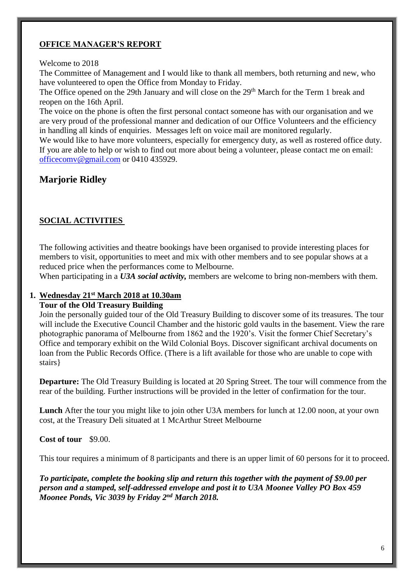## **OFFICE MANAGER'S REPORT**

#### Welcome to 2018

The Committee of Management and I would like to thank all members, both returning and new, who have volunteered to open the Office from Monday to Friday.

The Office opened on the 29th January and will close on the 29<sup>th</sup> March for the Term 1 break and reopen on the 16th April.

The voice on the phone is often the first personal contact someone has with our organisation and we are very proud of the professional manner and dedication of our Office Volunteers and the efficiency in handling all kinds of enquiries. Messages left on voice mail are monitored regularly.

We would like to have more volunteers, especially for emergency duty, as well as rostered office duty. If you are able to help or wish to find out more about being a volunteer, please contact me on email: [officecomv@gmail.com](mailto:officecomv@gmail.com) or 0410 435929.

## **Marjorie Ridley**

## **SOCIAL ACTIVITIES**

The following activities and theatre bookings have been organised to provide interesting places for members to visit, opportunities to meet and mix with other members and to see popular shows at a reduced price when the performances come to Melbourne.

When participating in a *U3A social activity,* members are welcome to bring non-members with them.

#### **1. Wednesday 21st March 2018 at 10.30am**

#### **Tour of the Old Treasury Building**

Join the personally guided tour of the Old Treasury Building to discover some of its treasures. The tour will include the Executive Council Chamber and the historic gold vaults in the basement. View the rare photographic panorama of Melbourne from 1862 and the 1920's. Visit the former Chief Secretary's Office and temporary exhibit on the Wild Colonial Boys. Discover significant archival documents on loan from the Public Records Office. (There is a lift available for those who are unable to cope with stairs}

**Departure:** The Old Treasury Building is located at 20 Spring Street. The tour will commence from the rear of the building. Further instructions will be provided in the letter of confirmation for the tour.

**Lunch** After the tour you might like to join other U3A members for lunch at 12.00 noon, at your own cost, at the Treasury Deli situated at 1 McArthur Street Melbourne

#### **Cost of tour** \$9.00.

This tour requires a minimum of 8 participants and there is an upper limit of 60 persons for it to proceed.

*To participate, complete the booking slip and return this together with the payment of \$9.00 per person and a stamped, self-addressed envelope and post it to U3A Moonee Valley PO Box 459 Moonee Ponds, Vic 3039 by Friday 2nd March 2018.*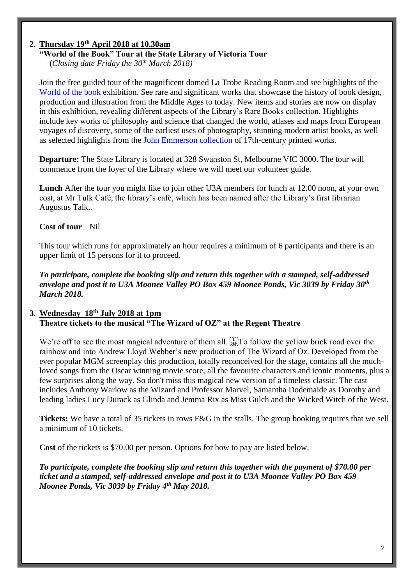## **2. Thursday 19th April 2018 at 10.30am**

#### **"World of the Book" Tour at the State Library of Victoria Tour**

**(***Closing date Friday the 30th March 2018)*

Join the free guided tour of the magnificent domed La Trobe Reading Room and see highlights of the [World of the book](https://www.slv.vic.gov.au/whats-on/world-book) exhibition. See rare and significant works that showcase the history of book design, production and illustration from the Middle Ages to today. New items and stories are now on display in this exhibition, revealing different aspects of the Library's Rare Books collection. Highlights include key works of philosophy and science that changed the world, atlases and maps from European voyages of discovery, some of the earliest uses of photography, stunning modern artist books, as well as selected highlights from the [John Emmerson collection](https://www.slv.vic.gov.au/search-discover/explore-collections-theme/history-book/emmerson-collection) of 17th-century printed works.

**Departure:** The State Library is located at 328 Swanston St, Melbourne VIC 3000. The tour will commence from the foyer of the Library where we will meet our volunteer guide.

**Lunch** After the tour you might like to join other U3A members for lunch at 12.00 noon, at your own cost, at Mr Tulk Café, the library's café, which has been named after the Library's first librarian Augustus Talk,.

#### **Cost of tour** Nil

This tour which runs for approximately an hour requires a minimum of 6 participants and there is an upper limit of 15 persons for it to proceed.

*To participate, complete the booking slip and return this together with a stamped, self-addressed envelope and post it to U3A Moonee Valley PO Box 459 Moonee Ponds, Vic 3039 by Friday 30th March 2018.*

#### **3. Wednesday 18th July 2018 at 1pm Theatre tickets to the musical "The Wizard of OZ" at the Regent Theatre**

We're off to see the most magical adventure of them all. **SECT** follow the yellow brick road over the rainbow and into Andrew Lloyd Webber's new production of The Wizard of Oz. Developed from the ever popular MGM screenplay this production, totally reconceived for the stage, contains all the muchloved songs from the Oscar winning movie score, all the favourite characters and iconic moments, plus a few surprises along the way. So don't miss this magical new version of a timeless classic. The cast includes Anthony Warlow as the Wizard and Professor Marvel, Samantha Dodemaide as Dorothy and leading ladies Lucy Durack as Glinda and Jemma Rix as Miss Gulch and the Wicked Witch of the West.

**Tickets:** We have a total of 35 tickets in rows F&G in the stalls. The group booking requires that we sell a minimum of 10 tickets.

**Cost** of the tickets is \$70.00 per person. Options for how to pay are listed below.

*To participate, complete the booking slip and return this together with the payment of \$70.00 per ticket and a stamped, self-addressed envelope and post it to U3A Moonee Valley PO Box 459 Moonee Ponds, Vic 3039 by Friday 4th May 2018.*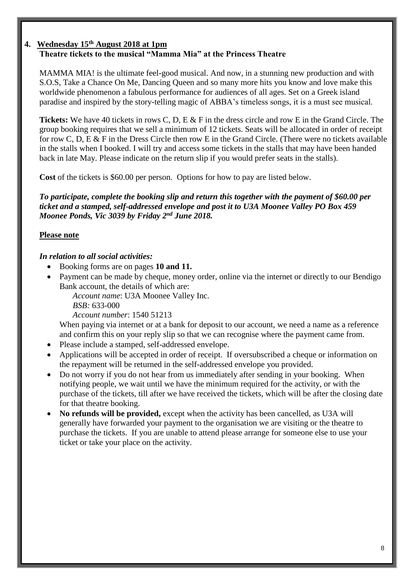## **4. Wednesday 15th August 2018 at 1pm Theatre tickets to the musical "Mamma Mia" at the Princess Theatre**

MAMMA MIA! is the ultimate feel-good musical. And now, in a stunning new production and with S.O.S, Take a Chance On Me, Dancing Queen and so many more hits you know and love make this worldwide phenomenon a fabulous performance for audiences of all ages. Set on a Greek island paradise and inspired by the story-telling magic of ABBA's timeless songs, it is a must see musical.

**Tickets:** We have 40 tickets in rows C, D, E & F in the dress circle and row E in the Grand Circle. The group booking requires that we sell a minimum of 12 tickets. Seats will be allocated in order of receipt for row C, D, E & F in the Dress Circle then row E in the Grand Circle. (There were no tickets available in the stalls when I booked. I will try and access some tickets in the stalls that may have been handed back in late May. Please indicate on the return slip if you would prefer seats in the stalls).

**Cost** of the tickets is \$60.00 per person. Options for how to pay are listed below.

*To participate, complete the booking slip and return this together with the payment of \$60.00 per ticket and a stamped, self-addressed envelope and post it to U3A Moonee Valley PO Box 459 Moonee Ponds, Vic 3039 by Friday 2nd June 2018.*

## **Please note**

## *In relation to all social activities:*

- Booking forms are on pages **10 and 11.**
- Payment can be made by cheque, money order, online via the internet or directly to our Bendigo Bank account, the details of which are:

*Account name*: U3A Moonee Valley Inc.

*BSB:* 633-000

*Account number*: 1540 51213

When paying via internet or at a bank for deposit to our account, we need a name as a reference and confirm this on your reply slip so that we can recognise where the payment came from.

- Please include a stamped, self-addressed envelope.
- Applications will be accepted in order of receipt. If oversubscribed a cheque or information on the repayment will be returned in the self-addressed envelope you provided.
- Do not worry if you do not hear from us immediately after sending in your booking. When notifying people, we wait until we have the minimum required for the activity, or with the purchase of the tickets, till after we have received the tickets, which will be after the closing date for that theatre booking.
- **No refunds will be provided,** except when the activity has been cancelled, as U3A will generally have forwarded your payment to the organisation we are visiting or the theatre to purchase the tickets. If you are unable to attend please arrange for someone else to use your ticket or take your place on the activity.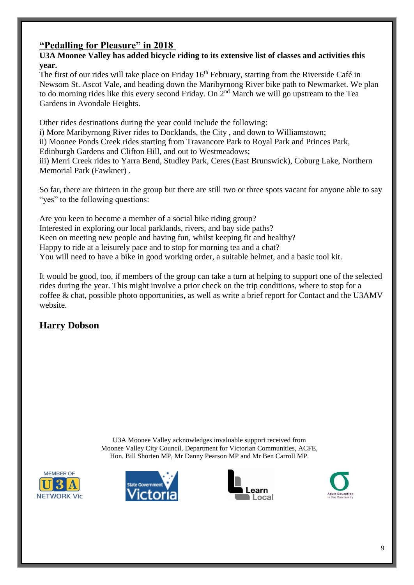# **"Pedalling for Pleasure" in 2018**

## **U3A Moonee Valley has added bicycle riding to its extensive list of classes and activities this year.**

The first of our rides will take place on Friday  $16<sup>th</sup>$  February, starting from the Riverside Café in Newsom St. Ascot Vale, and heading down the Maribyrnong River bike path to Newmarket. We plan to do morning rides like this every second Friday. On 2<sup>nd</sup> March we will go upstream to the Tea Gardens in Avondale Heights.

Other rides destinations during the year could include the following: i) More Maribyrnong River rides to Docklands, the City , and down to Williamstown;

ii) Moonee Ponds Creek rides starting from Travancore Park to Royal Park and Princes Park, Edinburgh Gardens and Clifton Hill, and out to Westmeadows; iii) Merri Creek rides to Yarra Bend, Studley Park, Ceres (East Brunswick), Coburg Lake, Northern Memorial Park (Fawkner) .

So far, there are thirteen in the group but there are still two or three spots vacant for anyone able to say "yes" to the following questions:

Are you keen to become a member of a social bike riding group? Interested in exploring our local parklands, rivers, and bay side paths? Keen on meeting new people and having fun, whilst keeping fit and healthy? Happy to ride at a leisurely pace and to stop for morning tea and a chat? You will need to have a bike in good working order, a suitable helmet, and a basic tool kit.

It would be good, too, if members of the group can take a turn at helping to support one of the selected rides during the year. This might involve a prior check on the trip conditions, where to stop for a coffee & chat, possible photo opportunities, as well as write a brief report for Contact and the U3AMV website.

# **Harry Dobson**

U3A Moonee Valley acknowledges invaluable support received from Moonee Valley City Council, Department for Victorian Communities, ACFE, Hon. Bill Shorten MP, Mr Danny Pearson MP and Mr Ben Carroll MP.







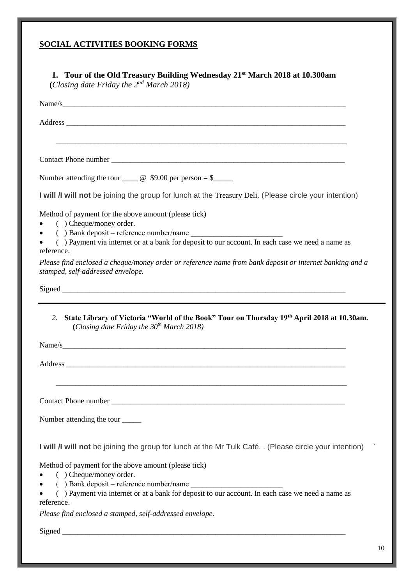# **SOCIAL ACTIVITIES BOOKING FORMS**

|                                                                                                                 | Name/s                                                                                                                                                  |
|-----------------------------------------------------------------------------------------------------------------|---------------------------------------------------------------------------------------------------------------------------------------------------------|
|                                                                                                                 |                                                                                                                                                         |
|                                                                                                                 |                                                                                                                                                         |
|                                                                                                                 | Number attending the tour $\_\_\_\_\_\_\$ g \$9.00 per person = \$                                                                                      |
|                                                                                                                 | I will <i>I</i> I will not be joining the group for lunch at the Treasury Deli. (Please circle your intention)                                          |
| ( ) Cheque/money order.                                                                                         | Method of payment for the above amount (please tick)                                                                                                    |
| reference.                                                                                                      | $( )$ Bank deposit – reference number/name<br>() Payment via internet or at a bank for deposit to our account. In each case we need a name as           |
|                                                                                                                 |                                                                                                                                                         |
|                                                                                                                 | Please find enclosed a cheque/money order or reference name from bank deposit or internet banking and a                                                 |
|                                                                                                                 |                                                                                                                                                         |
| 2.                                                                                                              | State Library of Victoria "World of the Book" Tour on Thursday 19th April 2018 at 10.30am.<br>(Closing date Friday the $30th$ March 2018)               |
|                                                                                                                 | Address                                                                                                                                                 |
|                                                                                                                 |                                                                                                                                                         |
|                                                                                                                 |                                                                                                                                                         |
|                                                                                                                 | I will <i>I</i> I will not be joining the group for lunch at the Mr Tulk Café. . (Please circle your intention)                                         |
| stamped, self-addressed envelope.<br>Number attending the tour _______<br>( ) Cheque/money order.<br>reference. | Method of payment for the above amount (please tick)<br>() Payment via internet or at a bank for deposit to our account. In each case we need a name as |